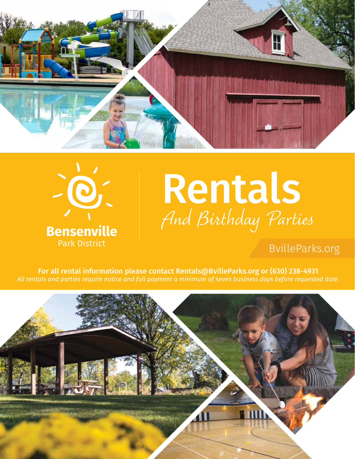



# Rentals *And Birthday Parties*

### BvilleParks.org

For all rental information please contact Rentals@BvilleParks.org or (630) 238-4931 *All rentals and parties require notice and full payment a minimum of seven business days before requested date.*

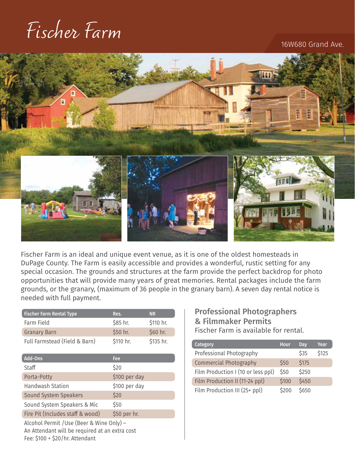### *Fischer Farm*

#### 16W680 Grand Ave.



Fischer Farm is an ideal and unique event venue, as it is one of the oldest homesteads in DuPage County. The Farm is easily accessible and provides a wonderful, rustic setting for any special occasion. The grounds and structures at the farm provide the perfect backdrop for photo opportunities that will provide many years of great memories. Rental packages include the farm grounds, or the granary, (maximum of 36 people in the granary barn). A seven day rental notice is needed with full payment.

| <b>Fischer Farm Rental Type</b>                                                                                                | Res.          | <b>NR</b> |  |  |
|--------------------------------------------------------------------------------------------------------------------------------|---------------|-----------|--|--|
| Farm Field                                                                                                                     | \$85 hr.      | \$110 hr. |  |  |
| <b>Granary Barn</b>                                                                                                            | \$50 hr.      | \$60 hr.  |  |  |
| Full Farmstead (Field & Barn)                                                                                                  | \$110 hr.     | \$135 hr. |  |  |
| <b>Add-Ons</b>                                                                                                                 | Fee           |           |  |  |
| Staff                                                                                                                          | \$20          |           |  |  |
| Porta-Potty                                                                                                                    | \$100 per day |           |  |  |
| Handwash Station                                                                                                               | \$100 per day |           |  |  |
| Sound System Speakers                                                                                                          | \$20          |           |  |  |
| Sound System Speakers & Mic                                                                                                    | \$50          |           |  |  |
| Fire Pit (Includes staff & wood)                                                                                               | \$50 per hr.  |           |  |  |
| Alcohol Permit / Use (Beer & Wine Only) -<br>An Attendant will be required at an extra cost<br>Fee: \$100 + \$20/hr. Attendant |               |           |  |  |

#### Professional Photographers & Filmmaker Permits Fischer Farm is available for rental.

| <b>Category</b>                    | <b>Hour</b> | Dav   | Year  |
|------------------------------------|-------------|-------|-------|
| Professional Photography           |             | \$35  | \$125 |
| <b>Commercial Photography</b>      | \$50        | \$175 |       |
| Film Production I (10 or less ppl) | \$50        | \$250 |       |
| Film Production II (11-24 ppl)     | \$100       | \$450 |       |
| Film Production III (25+ ppl)      | \$200       | \$650 |       |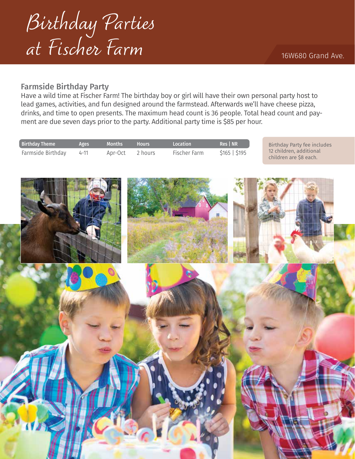

#### Farmside Birthday Party

Have a wild time at Fischer Farm! The birthday boy or girl will have their own personal party host to lead games, activities, and fun designed around the farmstead. Afterwards we'll have cheese pizza, drinks, and time to open presents. The maximum head count is 36 people. Total head count and payment are due seven days prior to the party. Additional party time is \$85 per hour.

| <b>Birthday Theme</b> | <b>Ages</b> | <b>Months</b> | <b>Hours</b> | <b>Location</b> | <b>Res</b> NR | Birthday Party fee includes                       |
|-----------------------|-------------|---------------|--------------|-----------------|---------------|---------------------------------------------------|
| Farmside Birthday     | $4 - 11$    | Apr-Oct       | 2 hours      | Fischer Farm    | \$165   \$195 | 12 children, additional<br>children are \$8 each. |

16W680 Grand Ave.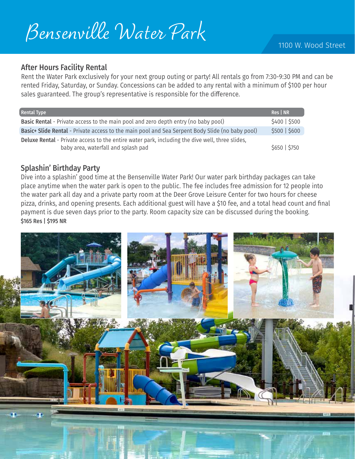### *Bensenville Water Park*

#### After Hours Facility Rental

Rent the Water Park exclusively for your next group outing or party! All rentals go from 7:30-9:30 PM and can be rented Friday, Saturday, or Sunday. Concessions can be added to any rental with a minimum of \$100 per hour sales guaranteed. The group's representative is responsible for the difference.

| <b>Rental Type</b>                                                                                                                     | Res   NR      |
|----------------------------------------------------------------------------------------------------------------------------------------|---------------|
| <b>Basic Rental</b> - Private access to the main pool and zero depth entry (no baby pool)                                              | \$400   \$500 |
| Basic+ Slide Rental - Private access to the main pool and Sea Serpent Body Slide (no baby pool)                                        | \$500   \$600 |
| Deluxe Rental - Private access to the entire water park, including the dive well, three slides,<br>baby area, waterfall and splash pad | \$650   \$750 |

#### Splashin' Birthday Party

Dive into a splashin' good time at the Bensenville Water Park! Our water park birthday packages can take place anytime when the water park is open to the public. The fee includes free admission for 12 people into the water park all day and a private party room at the Deer Grove Leisure Center for two hours for cheese pizza, drinks, and opening presents. Each additional guest will have a \$10 fee, and a total head count and final payment is due seven days prior to the party. Room capacity size can be discussed during the booking. \$165 Res | \$195 NR

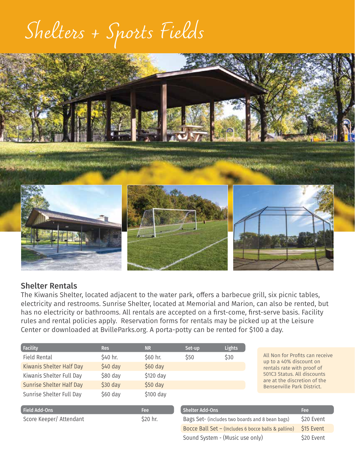## *Shelters + Sports Fields*



#### Shelter Rentals

The Kiwanis Shelter, located adjacent to the water park, offers a barbecue grill, six picnic tables, electricity and restrooms. Sunrise Shelter, located at Memorial and Marion, can also be rented, but has no electricity or bathrooms. All rentals are accepted on a first-come, first-serve basis. Facility rules and rental policies apply. Reservation forms for rentals may be picked up at the Leisure Center or downloaded at BvilleParks.org. A porta-potty can be rented for \$100 a day.

| <b>Facility</b>                 | <b>Res</b> | <b>NR</b> | Set-up | <b>Lights</b> |
|---------------------------------|------------|-----------|--------|---------------|
| Field Rental                    | \$40 hr.   | \$60 hr.  | \$50   | \$30          |
| Kiwanis Shelter Half Day        | $$40$ day  | $$60$ day |        |               |
| Kiwanis Shelter Full Day        | $$80$ day  | \$120 day |        |               |
| <b>Sunrise Shelter Half Day</b> | $$30$ day  | $$50$ day |        |               |
| Sunrise Shelter Full Day        | $$60$ day  | \$100 day |        |               |
|                                 |            |           |        |               |

All Non for Profits can receive up to a 40% discount on rentals rate with proof of 501C3 Status. All discounts are at the discretion of the Bensenville Park District.

| <b>Field Add-Ons</b>    | <b>Fee</b> |
|-------------------------|------------|
| Score Keeper/ Attendant | \$20 hr.   |

| <b>Shelter Add-Ons</b>                              | <b>Fee</b> |
|-----------------------------------------------------|------------|
| Bags Set- (includes two boards and 8 bean bags)     | \$20 Event |
| Bocce Ball Set - (Includes 6 bocce balls & pallino) | \$15 Event |
| Sound System - (Music use only)                     | \$20 Event |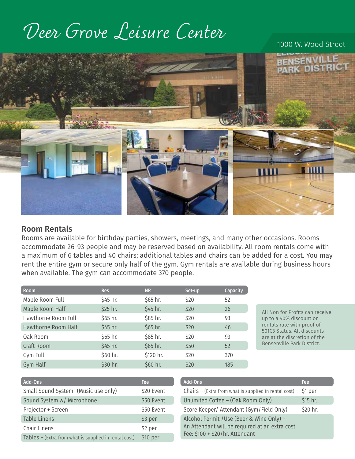### *Deer Grove Leisure Center*

#### 1000 W. Wood Street



#### Room Rentals

Rooms are available for birthday parties, showers, meetings, and many other occasions. Rooms accommodate 26-93 people and may be reserved based on availability. All room rentals come with a maximum of 6 tables and 40 chairs; additional tables and chairs can be added for a cost. You may rent the entire gym or secure only half of the gym. Gym rentals are available during business hours when available. The gym can accommodate 370 people.

| <b>Room</b>         | <b>Res</b> | <b>NR</b> | Set-up | Capacity |
|---------------------|------------|-----------|--------|----------|
| Maple Room Full     | \$45 hr.   | \$65 hr.  | \$20   | 52       |
| Maple Room Half     | \$25 hr.   | \$45 hr.  | \$20   | 26       |
| Hawthorne Room Full | \$65 hr.   | \$85 hr.  | \$20   | 93       |
| Hawthorne Room Half | \$45 hr.   | \$65 hr.  | \$20   | 46       |
| Oak Room            | \$65 hr.   | \$85 hr.  | \$20   | 93       |
| Craft Room          | \$45 hr.   | \$65 hr.  | \$50   | 52       |
| Gym Full            | \$60 hr.   | \$120 hr. | \$20   | 370      |
| Gym Half            | \$30 hr.   | \$60 hr.  | \$20   | 185      |

All Non for Profits can receive up to a 40% discount on rentals rate with proof of 501C3 Status. All discounts are at the discretion of the Bensenville Park District.

| Add-Ons                                                 | Fee        | Add-Ons                                                 | Fee      |
|---------------------------------------------------------|------------|---------------------------------------------------------|----------|
| Small Sound System- (Music use only)                    | \$20 Event | Chairs $-$ (Extra from what is supplied in rental cost) | \$1 per  |
| Sound System w/ Microphone                              | \$50 Event | Unlimited Coffee - (Oak Room Only)                      | \$15 hr. |
| Projector + Screen                                      | \$50 Event | Score Keeper/ Attendant (Gym/Field Only)                | \$20 hr. |
| <b>Table Linens</b>                                     | \$3 per    | Alcohol Permit / Use (Beer & Wine Only) -               |          |
| Chair Linens                                            | \$2 per    | An Attendant will be required at an extra cost          |          |
| Tables $-$ (Extra from what is supplied in rental cost) | \$10 per   | Fee: \$100 + \$20/hr. Attendant                         |          |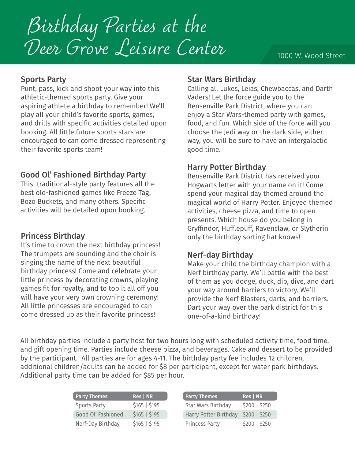*Birthday Parties at the Deer Grove Leisure Center* 

#### Sports Party

Punt, pass, kick and shoot your way into this athletic-themed sports party. Give your aspiring athlete a birthday to remember! We'll play all your child's favorite sports, games, and drills with specific activities detailed upon booking. All little future sports stars are encouraged to can come dressed representing their favorite sports team!

#### Good Ol' Fashioned Birthday Party

This traditional-style party features all the best old-fashioned games like Freeze Tag, Bozo Buckets, and many others. Specific activities will be detailed upon booking.

It's time to crown the next birthday princess! The trumpets are sounding and the choir is singing the name of the next beautiful birthday princess! Come and celebrate your little princess by decorating crowns, playing games fit for royalty, and to top it all off you will have your very own crowning ceremony! All little princesses are encouraged to can come dressed up as their favorite princess!

### Star Wars Birthday

Calling all Lukes, Leias, Chewbaccas, and Darth Vaders! Let the force guide you to the Bensenville Park District, where you can enjoy a Star Wars-themed party with games, food, and fun. Which side of the force will you choose the Jedi way or the dark side, either way, you will be sure to have an intergalactic good time.

#### Harry Potter Birthday

Bensenville Park District has received your Hogwarts letter with your name on it! Come spend your magical day themed around the magical world of Harry Potter. Enjoyed themed activities, cheese pizza, and time to open presents. Which house do you belong in Gryffindor, Hufflepuff, Ravenclaw, or Slytherin **Princess Birthday Discription Constrainers Arizonal String Series Birthday sorting hat knows!** 

#### Nerf-day Birthday

Make your child the birthday champion with a Nerf birthday party. We'll battle with the best of them as you dodge, duck, dip, dive, and dart your way around barriers to victory. We'll provide the Nerf Blasters, darts, and barriers. Dart your way over the park district for this one-of-a-kind birthday!

All birthday parties include a party host for two hours long with scheduled activity time, food time, and gift opening time. Parties include cheese pizza, and beverages. Cake and dessert to be provided by the participant. All parties are for ages 4-11. The birthday party fee includes 12 children, additional children/adults can be added for \$8 per participant, except for water park birthdays. Additional party time can be added for \$85 per hour.

| <b>Party Themes</b> | Res   NR      | <b>Party Themes</b>   | Res   NR      |
|---------------------|---------------|-----------------------|---------------|
| <b>Sports Party</b> | \$165   \$195 | Star Wars Birthday    | \$200   \$250 |
| Good Ol' Fashioned  | \$165   \$195 | Harry Potter Birthday | \$200   \$250 |
| Nerf-Day Birthday   | \$165   \$195 | Princess Party        | \$200   \$250 |